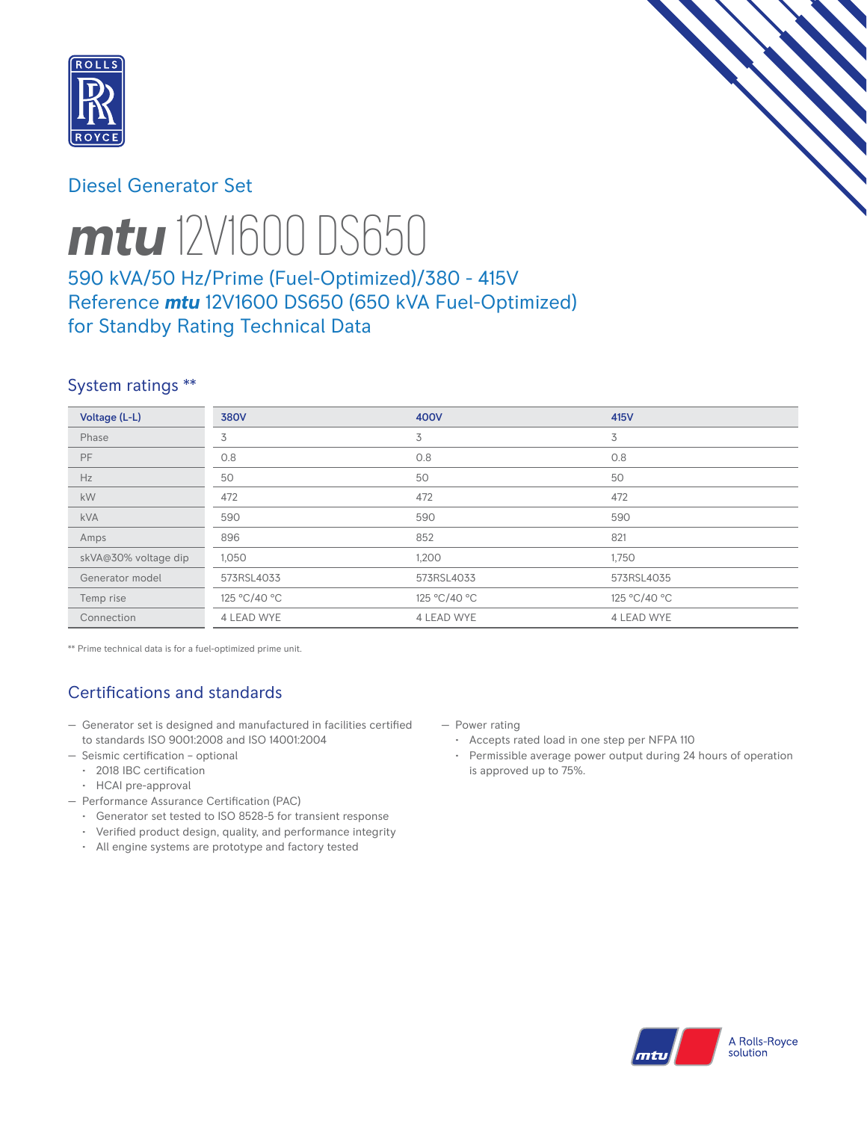

## Diesel Generator Set



# *mtu* 12V1600 DS650

590 kVA/50 Hz/Prime (Fuel-Optimized)/380 - 415V Reference *mtu* 12V1600 DS650 (650 kVA Fuel-Optimized) for Standby Rating Technical Data

## System ratings \*\*

| Voltage (L-L)        | <b>380V</b>  | 400V         | 415V         |
|----------------------|--------------|--------------|--------------|
| Phase                | 3            | 3            | 3            |
| PF                   | 0.8          | 0.8          | 0.8          |
| Hz                   | 50           | 50           | 50           |
| kW                   | 472          | 472          | 472          |
| <b>kVA</b>           | 590          | 590          | 590          |
| Amps                 | 896          | 852          | 821          |
| skVA@30% voltage dip | 1,050        | 1,200        | 1,750        |
| Generator model      | 573RSL4033   | 573RSL4033   | 573RSL4035   |
| Temp rise            | 125 °C/40 °C | 125 °C/40 °C | 125 °C/40 °C |
| Connection           | 4 LEAD WYE   | 4 LEAD WYE   | 4 LEAD WYE   |

\*\* Prime technical data is for a fuel-optimized prime unit.

# Certifications and standards

- Generator set is designed and manufactured in facilities certified to standards ISO 9001:2008 and ISO 14001:2004
- Seismic certification optional
	- 2018 IBC certification
	- HCAI pre-approval
- Performance Assurance Certification (PAC)
	- Generator set tested to ISO 8528-5 for transient response
	- Verified product design, quality, and performance integrity
	- All engine systems are prototype and factory tested
- Power rating
	- Accepts rated load in one step per NFPA 110
	- Permissible average power output during 24 hours of operation is approved up to 75%.

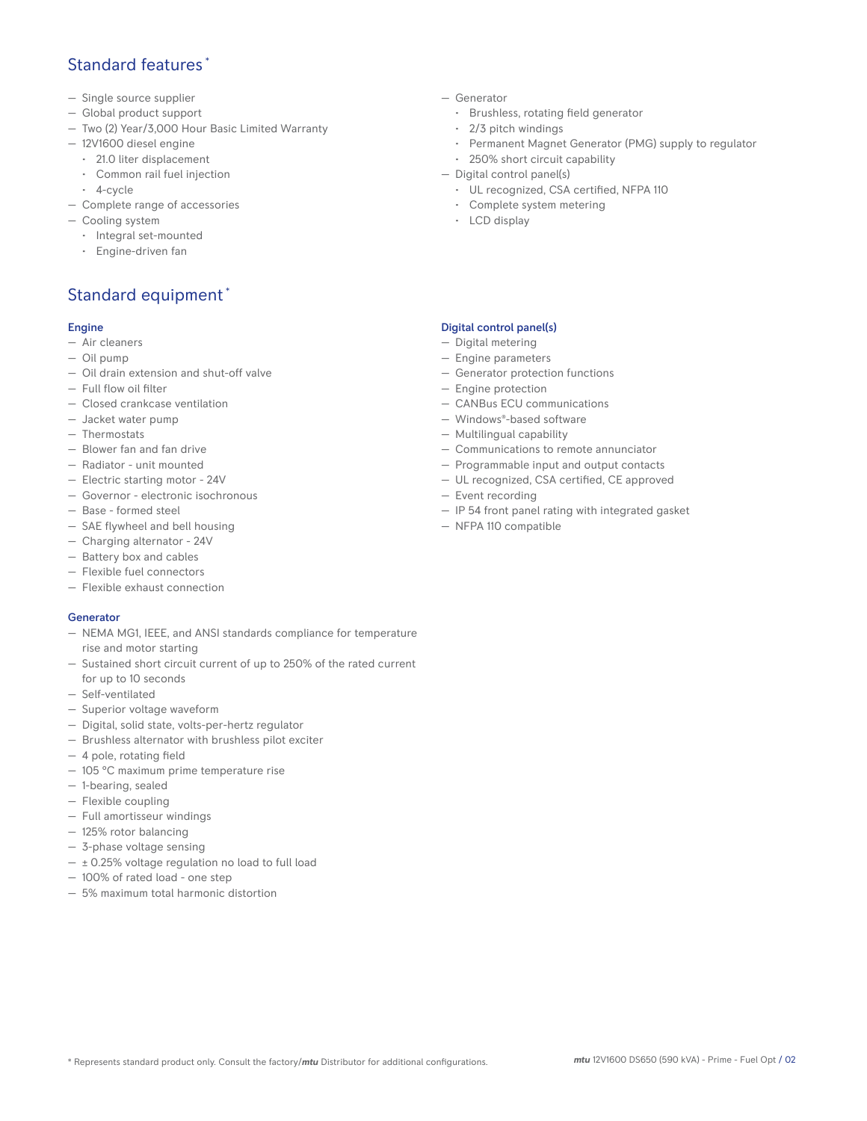## Standard features \*

- Single source supplier
- Global product support
- Two (2) Year/3,000 Hour Basic Limited Warranty
- 12V1600 diesel engine
	- 21.0 liter displacement
	- Common rail fuel injection
- 4-cycle
- Complete range of accessories
- Cooling system
	- Integral set-mounted
	- Engine-driven fan

# Standard equipment \*

#### Engine

- Air cleaners
- Oil pump
- Oil drain extension and shut-off valve
- Full flow oil filter
- Closed crankcase ventilation
- Jacket water pump
- Thermostats
- Blower fan and fan drive
- Radiator unit mounted
- Electric starting motor 24V
- Governor electronic isochronous
- Base formed steel
- SAE flywheel and bell housing
- Charging alternator 24V
- Battery box and cables
- Flexible fuel connectors
- Flexible exhaust connection

#### Generator

- NEMA MG1, IEEE, and ANSI standards compliance for temperature rise and motor starting
- Sustained short circuit current of up to 250% of the rated current for up to 10 seconds
- Self-ventilated
- Superior voltage waveform
- Digital, solid state, volts-per-hertz regulator
- Brushless alternator with brushless pilot exciter
- 4 pole, rotating field
- 105 °C maximum prime temperature rise
- 1-bearing, sealed
- Flexible coupling
- Full amortisseur windings
- 125% rotor balancing
- 3-phase voltage sensing
- ± 0.25% voltage regulation no load to full load
- 100% of rated load one step
- 5% maximum total harmonic distortion
- Generator
	- Brushless, rotating field generator
	- 2/3 pitch windings
	- Permanent Magnet Generator (PMG) supply to regulator
	- 250% short circuit capability
- Digital control panel(s)
	- UL recognized, CSA certified, NFPA 110
	- Complete system metering
	- LCD display

#### Digital control panel(s)

- Digital metering
- Engine parameters
- Generator protection functions
- Engine protection
- CANBus ECU communications
- Windows®-based software
- Multilingual capability
- Communications to remote annunciator
- Programmable input and output contacts
- UL recognized, CSA certified, CE approved
- Event recording
- IP 54 front panel rating with integrated gasket
- NFPA 110 compatible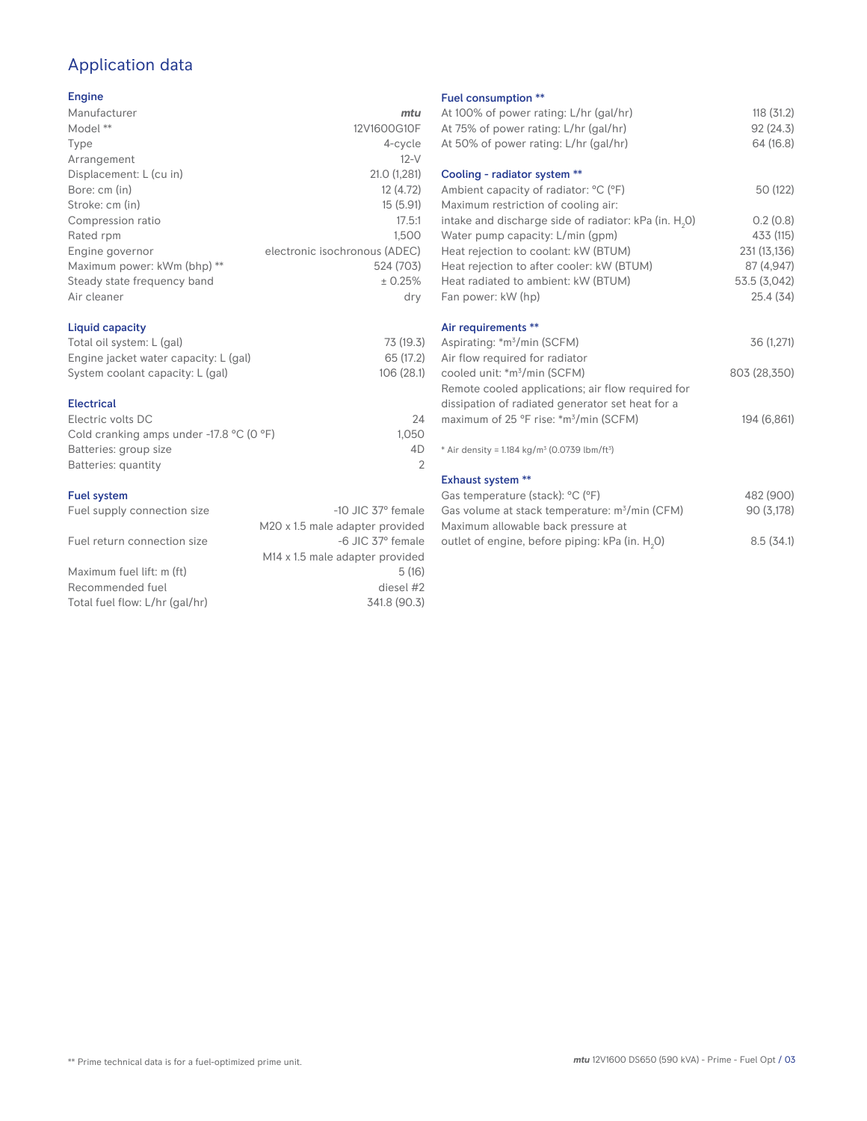# Application data

#### Engine

| Manufacturer                | mtu                           |
|-----------------------------|-------------------------------|
| Model **                    | 12V1600G10F                   |
| Type                        | 4-cycle                       |
| Arrangement                 | $12-V$                        |
| Displacement: L (cu in)     | 21.0 (1,281)                  |
| Bore: cm (in)               | 12 (4.72)                     |
| Stroke: cm (in)             | 15(5.91)                      |
| Compression ratio           | 17.5:1                        |
| Rated rpm                   | 1.500                         |
| Engine governor             | electronic isochronous (ADEC) |
| Maximum power: kWm (bhp) ** | 524 (703)                     |
| Steady state frequency band | ± 0.25%                       |
| Air cleaner                 | dry                           |
|                             |                               |

#### Liquid capacity

| Total oil system: L (gal)             | 73 (19.3)  |
|---------------------------------------|------------|
| Engine jacket water capacity: L (gal) | 65 (17.2)  |
| System coolant capacity: L (gal)      | 106 (28.1) |

#### Electrical

| 24    |
|-------|
| 1.050 |
| 4D    |
|       |
|       |

## Fuel system<br>Fuel supply

| $1$ ust system.                |                                             | $\cup$ as temperature (staen). $\cup$ ( i )    |
|--------------------------------|---------------------------------------------|------------------------------------------------|
| Fuel supply connection size    | $-10$ JIC 37 $^{\circ}$ female              | Gas volume at stack temperature: $m^3/m$ (CF   |
|                                | M20 x 1.5 male adapter provided             | Maximum allowable back pressure at             |
| Fuel return connection size    | -6 JIC 37° female                           | outlet of engine, before piping: kPa (in. H.O) |
|                                | M <sub>14</sub> x 1.5 male adapter provided |                                                |
| Maximum fuel lift: m (ft)      | 5(16)                                       |                                                |
| Recommended fuel               | diesel #2                                   |                                                |
| Total fuel flow: L/hr (gal/hr) | 341.8 (90.3)                                |                                                |

#### Fuel consumption \*\*

|                      | <b>I UCL CONSUMPTION</b>                                             |              |
|----------------------|----------------------------------------------------------------------|--------------|
| u                    | At 100% of power rating: L/hr (gal/hr)                               | 118 (31.2)   |
| F                    | At 75% of power rating: L/hr (gal/hr)                                | 92 (24.3)    |
| e                    | At 50% of power rating: L/hr (gal/hr)                                | 64 (16.8)    |
| V                    |                                                                      |              |
| 1)                   | Cooling - radiator system **                                         |              |
| 2)                   | Ambient capacity of radiator: °C (°F)                                | 50 (122)     |
| 1)                   | Maximum restriction of cooling air:                                  |              |
| :1                   | intake and discharge side of radiator: kPa (in. H <sub>2</sub> 0)    | 0.2(0.8)     |
| 0                    | Water pump capacity: L/min (gpm)                                     | 433 (115)    |
| C)                   | Heat rejection to coolant: kW (BTUM)                                 | 231 (13,136) |
| 3)                   | Heat rejection to after cooler: kW (BTUM)                            | 87 (4,947)   |
| ℅                    | Heat radiated to ambient: kW (BTUM)                                  | 53.5 (3,042) |
| .<br>V               | Fan power: kW (hp)                                                   | 25.4 (34)    |
|                      | Air requirements **                                                  |              |
| .3)                  | Aspirating: *m <sup>3</sup> /min (SCFM)                              | 36 (1,271)   |
| .2)                  | Air flow required for radiator                                       |              |
| I.1)                 | cooled unit: *m <sup>3</sup> /min (SCFM)                             | 803 (28,350) |
|                      | Remote cooled applications; air flow required for                    |              |
|                      | dissipation of radiated generator set heat for a                     |              |
| 24                   | maximum of 25 °F rise: *m <sup>3</sup> /min (SCFM)                   | 194 (6,861)  |
| 50                   |                                                                      |              |
| ŀD<br>$\overline{2}$ | * Air density = $1.184 \text{ kg/m}^3$ (0.0739 lbm/ft <sup>3</sup> ) |              |
|                      | <b>Exhaust system **</b>                                             |              |
|                      | Gas temperature (stack): °C (°F)                                     | 482 (900)    |
| ıle                  | Gas volume at stack temperature: m <sup>3</sup> /min (CFM)           | 90 (3,178)   |
| эd                   | Maximum allowable back pressure at                                   |              |
|                      |                                                                      |              |

0) 8.5 (34.1)